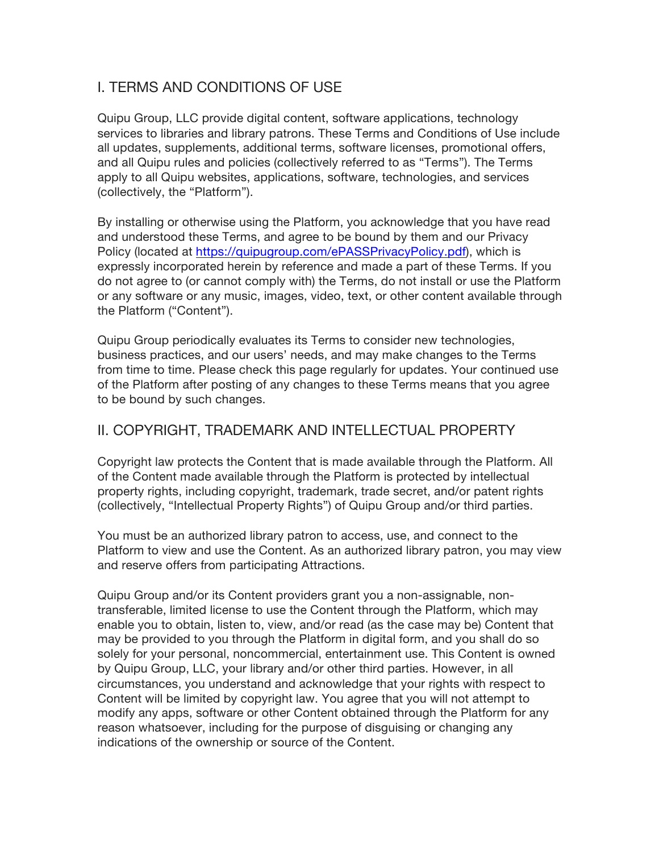## I. TERMS AND CONDITIONS OF USE

Quipu Group, LLC provide digital content, software applications, technology services to libraries and library patrons. These Terms and Conditions of Use include all updates, supplements, additional terms, software licenses, promotional offers, and all Quipu rules and policies (collectively referred to as "Terms"). The Terms apply to all Quipu websites, applications, software, technologies, and services (collectively, the "Platform").

By installing or otherwise using the Platform, you acknowledge that you have read and understood these Terms, and agree to be bound by them and our Privacy Policy (located at https://quipugroup.com/ePASSPrivacyPolicy.pdf), which is expressly incorporated herein by reference and made a part of these Terms. If you do not agree to (or cannot comply with) the Terms, do not install or use the Platform or any software or any music, images, video, text, or other content available through the Platform ("Content").

Quipu Group periodically evaluates its Terms to consider new technologies, business practices, and our users' needs, and may make changes to the Terms from time to time. Please check this page regularly for updates. Your continued use of the Platform after posting of any changes to these Terms means that you agree to be bound by such changes.

## II. COPYRIGHT, TRADEMARK AND INTELLECTUAL PROPERTY

Copyright law protects the Content that is made available through the Platform. All of the Content made available through the Platform is protected by intellectual property rights, including copyright, trademark, trade secret, and/or patent rights (collectively, "Intellectual Property Rights") of Quipu Group and/or third parties.

You must be an authorized library patron to access, use, and connect to the Platform to view and use the Content. As an authorized library patron, you may view and reserve offers from participating Attractions.

Quipu Group and/or its Content providers grant you a non-assignable, nontransferable, limited license to use the Content through the Platform, which may enable you to obtain, listen to, view, and/or read (as the case may be) Content that may be provided to you through the Platform in digital form, and you shall do so solely for your personal, noncommercial, entertainment use. This Content is owned by Quipu Group, LLC, your library and/or other third parties. However, in all circumstances, you understand and acknowledge that your rights with respect to Content will be limited by copyright law. You agree that you will not attempt to modify any apps, software or other Content obtained through the Platform for any reason whatsoever, including for the purpose of disguising or changing any indications of the ownership or source of the Content.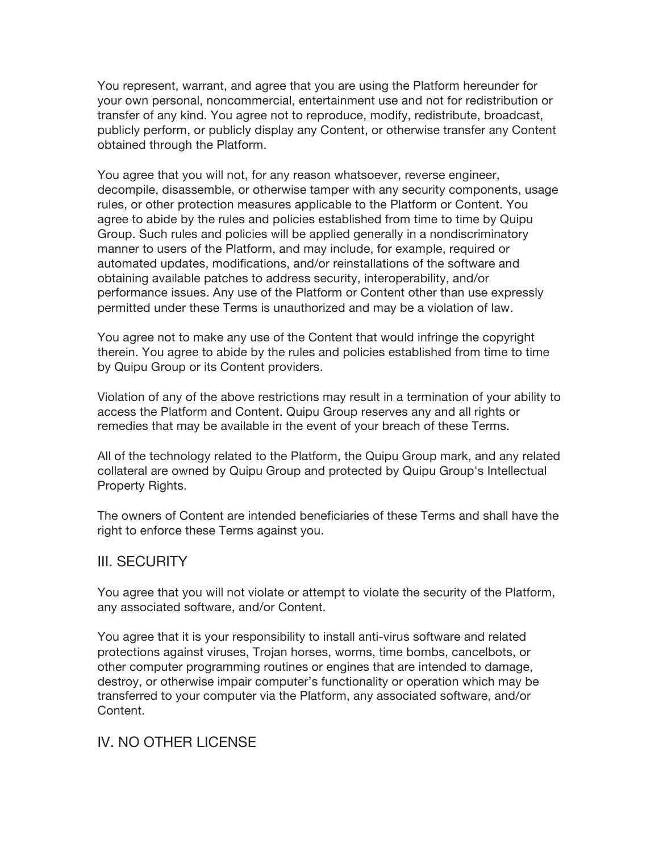You represent, warrant, and agree that you are using the Platform hereunder for your own personal, noncommercial, entertainment use and not for redistribution or transfer of any kind. You agree not to reproduce, modify, redistribute, broadcast, publicly perform, or publicly display any Content, or otherwise transfer any Content obtained through the Platform.

You agree that you will not, for any reason whatsoever, reverse engineer, decompile, disassemble, or otherwise tamper with any security components, usage rules, or other protection measures applicable to the Platform or Content. You agree to abide by the rules and policies established from time to time by Quipu Group. Such rules and policies will be applied generally in a nondiscriminatory manner to users of the Platform, and may include, for example, required or automated updates, modifications, and/or reinstallations of the software and obtaining available patches to address security, interoperability, and/or performance issues. Any use of the Platform or Content other than use expressly permitted under these Terms is unauthorized and may be a violation of law.

You agree not to make any use of the Content that would infringe the copyright therein. You agree to abide by the rules and policies established from time to time by Quipu Group or its Content providers.

Violation of any of the above restrictions may result in a termination of your ability to access the Platform and Content. Quipu Group reserves any and all rights or remedies that may be available in the event of your breach of these Terms.

All of the technology related to the Platform, the Quipu Group mark, and any related collateral are owned by Quipu Group and protected by Quipu Group's Intellectual Property Rights.

The owners of Content are intended beneficiaries of these Terms and shall have the right to enforce these Terms against you.

#### III. SECURITY

You agree that you will not violate or attempt to violate the security of the Platform, any associated software, and/or Content.

You agree that it is your responsibility to install anti-virus software and related protections against viruses, Trojan horses, worms, time bombs, cancelbots, or other computer programming routines or engines that are intended to damage, destroy, or otherwise impair computer's functionality or operation which may be transferred to your computer via the Platform, any associated software, and/or Content.

#### IV. NO OTHER LICENSE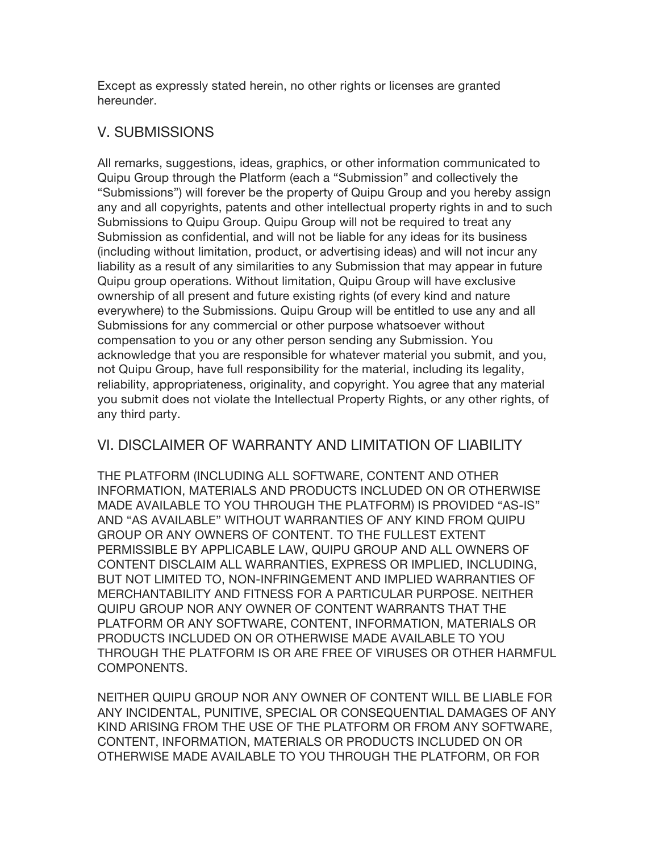Except as expressly stated herein, no other rights or licenses are granted hereunder.

## V. SUBMISSIONS

All remarks, suggestions, ideas, graphics, or other information communicated to Quipu Group through the Platform (each a "Submission" and collectively the "Submissions") will forever be the property of Quipu Group and you hereby assign any and all copyrights, patents and other intellectual property rights in and to such Submissions to Quipu Group. Quipu Group will not be required to treat any Submission as confidential, and will not be liable for any ideas for its business (including without limitation, product, or advertising ideas) and will not incur any liability as a result of any similarities to any Submission that may appear in future Quipu group operations. Without limitation, Quipu Group will have exclusive ownership of all present and future existing rights (of every kind and nature everywhere) to the Submissions. Quipu Group will be entitled to use any and all Submissions for any commercial or other purpose whatsoever without compensation to you or any other person sending any Submission. You acknowledge that you are responsible for whatever material you submit, and you, not Quipu Group, have full responsibility for the material, including its legality, reliability, appropriateness, originality, and copyright. You agree that any material you submit does not violate the Intellectual Property Rights, or any other rights, of any third party.

#### VI. DISCLAIMER OF WARRANTY AND LIMITATION OF LIABILITY

THE PLATFORM (INCLUDING ALL SOFTWARE, CONTENT AND OTHER INFORMATION, MATERIALS AND PRODUCTS INCLUDED ON OR OTHERWISE MADE AVAILABLE TO YOU THROUGH THE PLATFORM) IS PROVIDED "AS-IS" AND "AS AVAILABLE" WITHOUT WARRANTIES OF ANY KIND FROM QUIPU GROUP OR ANY OWNERS OF CONTENT. TO THE FULLEST EXTENT PERMISSIBLE BY APPLICABLE LAW, QUIPU GROUP AND ALL OWNERS OF CONTENT DISCLAIM ALL WARRANTIES, EXPRESS OR IMPLIED, INCLUDING, BUT NOT LIMITED TO, NON-INFRINGEMENT AND IMPLIED WARRANTIES OF MERCHANTABILITY AND FITNESS FOR A PARTICULAR PURPOSE. NEITHER QUIPU GROUP NOR ANY OWNER OF CONTENT WARRANTS THAT THE PLATFORM OR ANY SOFTWARE, CONTENT, INFORMATION, MATERIALS OR PRODUCTS INCLUDED ON OR OTHERWISE MADE AVAILABLE TO YOU THROUGH THE PLATFORM IS OR ARE FREE OF VIRUSES OR OTHER HARMFUL COMPONENTS.

NEITHER QUIPU GROUP NOR ANY OWNER OF CONTENT WILL BE LIABLE FOR ANY INCIDENTAL, PUNITIVE, SPECIAL OR CONSEQUENTIAL DAMAGES OF ANY KIND ARISING FROM THE USE OF THE PLATFORM OR FROM ANY SOFTWARE, CONTENT, INFORMATION, MATERIALS OR PRODUCTS INCLUDED ON OR OTHERWISE MADE AVAILABLE TO YOU THROUGH THE PLATFORM, OR FOR